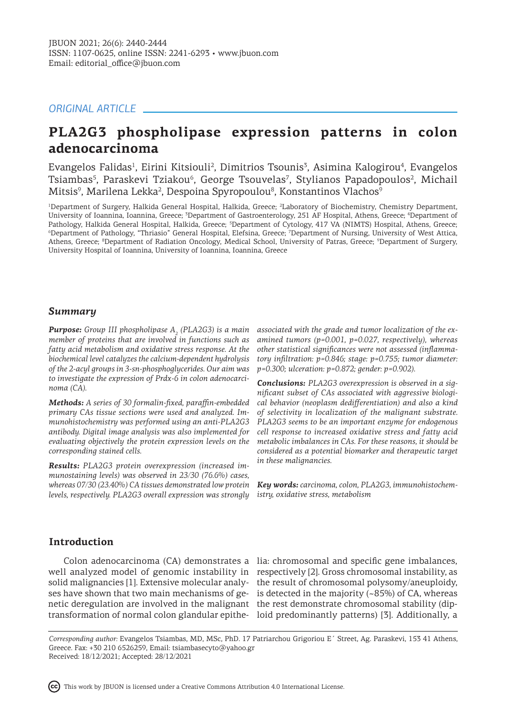# *ORIGINAL ARTICLE*

# **PLA2G3 phospholipase expression patterns in colon adenocarcinoma**

Evangelos Falidas<sup>1</sup>, Eirini Kitsiouli<sup>2</sup>, Dimitrios Tsounis<sup>3</sup>, Asimina Kalogirou<sup>4</sup>, Evangelos Tsiambas<sup>5</sup>, Paraskevi Tziakou<sup>6</sup>, George Tsouvelas<sup>7</sup>, Stylianos Papadopoulos<sup>2</sup>, Michail Mitsis<sup>9</sup>, Marilena Lekka<sup>2</sup>, Despoina Spyropoulou<sup>8</sup>, Konstantinos Vlachos<sup>9</sup>

1 Department of Surgery, Halkida General Hospital, Halkida, Greece; <sup>2</sup> Laboratory of Biochemistry, Chemistry Department, University of Ioannina, Ioannina, Greece; <sup>3</sup>Department of Gastroenterology, 251 AF Hospital, Athens, Greece; <sup>4</sup>Department of Pathology, Halkida General Hospital, Halkida, Greece; <sup>5</sup>Department of Cytology, 417 VA (NIMTS) Hospital, Athens, Greece; 6 Department of Pathology, "Thriasio" General Hospital, Elefsina, Greece; <sup>7</sup> Department of Nursing, University of West Attica, Athens, Greece; <sup>8</sup>Department of Radiation Oncology, Medical School, University of Patras, Greece; <sup>9</sup>Department of Surgery, University Hospital of Ioannina, University of Ioannina, Ioannina, Greece

# *Summary*

*Purpose: Group III phospholipase A2 (PLA2G3) is a main member of proteins that are involved in functions such as fatty acid metabolism and oxidative stress response. At the biochemical level catalyzes the calcium-dependent hydrolysis of the 2-acyl groups in 3-sn-phosphoglycerides. Our aim was to investigate the expression of Prdx-6 in colon adenocarcinoma (CA).* 

*Methods: A series of 30 formalin-fixed, paraffin-embedded primary CAs tissue sections were used and analyzed. Immunohistochemistry was performed using an anti-PLA2G3 antibody. Digital image analysis was also implemented for evaluating objectively the protein expression levels on the corresponding stained cells.* 

*Results: PLA2G3 protein overexpression (increased immunostaining levels) was observed in 23/30 (76.6%) cases, whereas 07/30 (23.40%) CA tissues demonstrated low protein levels, respectively. PLA2G3 overall expression was strongly* 

*associated with the grade and tumor localization of the examined tumors (p=0.001, p=0.027, respectively), whereas other statistical significances were not assessed (inflammatory infiltration: p=0.846; stage: p=0.755; tumor diameter: p=0.300; ulceration: p=0.872; gender: p=0.902).* 

*Conclusions: PLA2G3 overexpression is observed in a significant subset of CAs associated with aggressive biological behavior (neoplasm dedifferentiation) and also a kind of selectivity in localization of the malignant substrate. PLA2G3 seems to be an important enzyme for endogenous cell response to increased oxidative stress and fatty acid metabolic imbalances in CAs. For these reasons, it should be considered as a potential biomarker and therapeutic target in these malignancies.*

*Key words: carcinoma, colon, PLA2G3, immunohistochemistry, oxidative stress, metabolism*

# **Introduction**

netic deregulation are involved in the malignant the rest demonstrate chromosomal stability (dip-

Colon adenocarcinoma (CA) demonstrates a lia: chromosomal and specific gene imbalances, well analyzed model of genomic instability in respectively [2]. Gross chromosomal instability, as solid malignancies [1]. Extensive molecular analy-the result of chromosomal polysomy/aneuploidy, ses have shown that two main mechanisms of ge-is detected in the majority (~85%) of CA, whereas transformation of normal colon glandular epithe-loid predominantly patterns) [3]. Additionally, a

*Corresponding author:* Evangelos Tsiambas, MD, MSc, PhD. 17 Patriarchou Grigoriou E΄ Street, Ag. Paraskevi, 153 41 Athens, Greece. Fax: +30 210 6526259, Email: tsiambasecyto@yahoo.gr Received: 18/12/2021; Accepted: 28/12/2021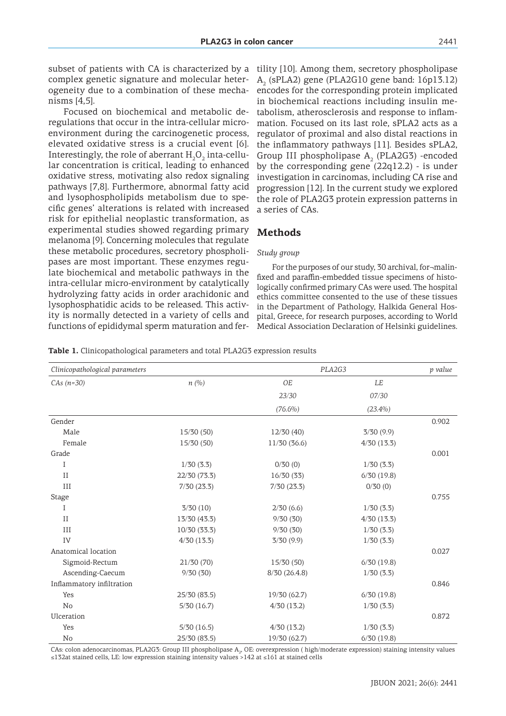subset of patients with CA is characterized by a complex genetic signature and molecular heterogeneity due to a combination of these mechanisms [4,5].

Focused on biochemical and metabolic deregulations that occur in the intra-cellular microenvironment during the carcinogenetic process, elevated oxidative stress is a crucial event [6]. Interestingly, the role of aberrant  $\rm H_2O_2$  inta-cellular concentration is critical, leading to enhanced oxidative stress, motivating also redox signaling pathways [7,8]. Furthermore, abnormal fatty acid and lysophospholipids metabolism due to specific genes' alterations is related with increased risk for epithelial neoplastic transformation, as experimental studies showed regarding primary melanoma [9]. Concerning molecules that regulate these metabolic procedures, secretory phospholipases are most important. These enzymes regulate biochemical and metabolic pathways in the intra-cellular micro-environment by catalytically hydrolyzing fatty acids in order arachidonic and lysophosphatidic acids to be released. This activity is normally detected in a variety of cells and functions of epididymal sperm maturation and fer-

tility [10]. Among them, secretory phospholipase  $\text{A}_\text{2}\text{ (sPLA2)}$  gene (PLA2G10 gene band: 16p13.12) encodes for the corresponding protein implicated in biochemical reactions including insulin metabolism, atherosclerosis and response to inflammation. Focused on its last role, sPLA2 acts as a regulator of proximal and also distal reactions in the inflammatory pathways [11]. Besides sPLA2, Group III phospholipase  $A<sub>2</sub>$  (PLA2G3) -encoded by the corresponding gene (22q12.2) - is under investigation in carcinomas, including CA rise and progression [12]. In the current study we explored the role of PLA2G3 protein expression patterns in a series of CAs.

### **Methods**

#### *Study group*

For the purposes of our study, 30 archival, for¬malinfixed and paraffin-embedded tissue specimens of histologically confirmed primary CAs were used. The hospital ethics committee consented to the use of these tissues in the Department of Pathology, Halkida General Hospital, Greece, for research purposes, according to World Medical Association Declaration of Helsinki guidelines.

**Table 1.** Clinicopathological parameters and total PLA2G3 expression results

| Clinicopathological parameters |              | PLA2G3       |            | p value |
|--------------------------------|--------------|--------------|------------|---------|
| $CAS (n=30)$                   | n(%)         | OE           | LE         |         |
|                                |              | 23/30        | 07/30      |         |
|                                |              | $(76.6\%)$   | $(23.4\%)$ |         |
| Gender                         |              |              |            | 0.902   |
| Male                           | 15/30 (50)   | 12/30(40)    | 3/30(9.9)  |         |
| Female                         | 15/30 (50)   | 11/30(36.6)  | 4/30(13.3) |         |
| Grade                          |              |              |            | 0.001   |
| Ι                              | 1/30(3.3)    | 0/30(0)      | 1/30(3.3)  |         |
| $_{\rm II}$                    | 22/30 (73.3) | 16/30(33)    | 6/30(19.8) |         |
| III                            | 7/30(23.3)   | 7/30(23.3)   | 0/30(0)    |         |
| Stage                          |              |              |            | 0.755   |
| Ι                              | 3/30(10)     | 2/30(6.6)    | 1/30(3.3)  |         |
| $_{\rm II}$                    | 13/30 (43.3) | 9/30(30)     | 4/30(13.3) |         |
| III                            | 10/30 (33.3) | 9/30(30)     | 1/30(3.3)  |         |
| IV                             | 4/30(13.3)   | 3/30(9.9)    | 1/30(3.3)  |         |
| Anatomical location            |              |              |            | 0.027   |
| Sigmoid-Rectum                 | 21/30(70)    | 15/30 (50)   | 6/30(19.8) |         |
| Ascending-Caecum               | 9/30(30)     | 8/30(26.4.8) | 1/30(3.3)  |         |
| Inflammatory infiltration      |              |              |            | 0.846   |
| Yes                            | 25/30 (83.5) | 19/30 (62.7) | 6/30(19.8) |         |
| No                             | 5/30(16.7)   | 4/30(13.2)   | 1/30(3.3)  |         |
| Ulceration                     |              |              |            | 0.872   |
| Yes                            | 5/30(16.5)   | 4/30(13.2)   | 1/30(3.3)  |         |
| No                             | 25/30 (83.5) | 19/30 (62.7) | 6/30(19.8) |         |

CAs: colon adenocarcinomas, PLA2G3: Group III phospholipase A<sub>2</sub>, OE: overexpression ( high/moderate expression) staining intensity values ≤132at stained cells, LE: low expression staining intensity values >142 at ≤161 at stained cells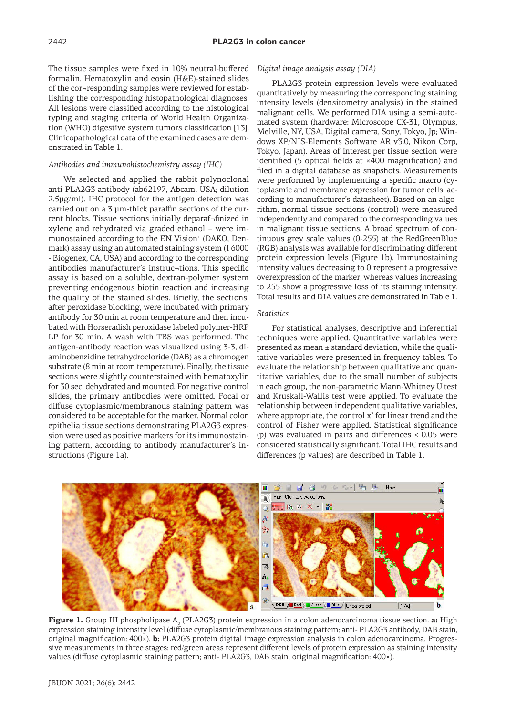The tissue samples were fixed in 10% neutral-buffered formalin. Hematoxylin and eosin (H&E)-stained slides of the cor¬responding samples were reviewed for establishing the corresponding histopathological diagnoses. All lesions were classified according to the histological typing and staging criteria of World Health Organization (WHO) digestive system tumors classification [13]. Clinicopathological data of the examined cases are demonstrated in Table 1.

#### *Antibodies and immunohistochemistry assay (IHC)*

We selected and applied the rabbit polynoclonal anti-PLA2G3 antibody (ab62197, Abcam, USA; dilution 2.5μg/ml). IHC protocol for the antigen detection was carried out on a 3 μm-thick paraffin sections of the current blocks. Tissue sections initially deparaf¬finized in xylene and rehydrated via graded ethanol – were immunostained according to the EN Vision<sup>+</sup> (DAKO, Denmark) assay using an automated staining system (I 6000 - Biogenex, CA, USA) and according to the corresponding antibodies manufacturer's instruc¬tions. This specific assay is based on a soluble, dextran-polymer system preventing endogenous biotin reaction and increasing the quality of the stained slides. Briefly, the sections, after peroxidase blocking, were incubated with primary antibody for 30 min at room temperature and then incubated with Horseradish peroxidase labeled polymer-HRP LP for 30 min. A wash with TBS was performed. The antigen-antibody reaction was visualized using 3-3, diaminobenzidine tetrahydrocloride (DAB) as a chromogen substrate (8 min at room temperature). Finally, the tissue sections were slightly counterstained with hematoxylin for 30 sec, dehydrated and mounted. For negative control slides, the primary antibodies were omitted. Focal or diffuse cytoplasmic/membranous staining pattern was considered to be acceptable for the marker. Normal colon epithelia tissue sections demonstrating PLA2G3 expression were used as positive markers for its immunostaining pattern, according to antibody manufacturer's instructions (Figure 1a).

#### *Digital image analysis assay (DIA)*

PLA2G3 protein expression levels were evaluated quantitatively by measuring the corresponding staining intensity levels (densitometry analysis) in the stained malignant cells. We performed DIA using a semi-automated system (hardware: Microscope CX-31, Olympus, Melville, NY, USA, Digital camera, Sony, Tokyo, Jp; Windows XP/NIS-Elements Software AR v3.0, Nikon Corp, Tokyo, Japan). Areas of interest per tissue section were identified (5 optical fields at ×400 magnification) and filed in a digital database as snapshots. Measurements were performed by implementing a specific macro (cytoplasmic and membrane expression for tumor cells, according to manufacturer's datasheet). Based on an algorithm, normal tissue sections (control) were measured independently and compared to the corresponding values in malignant tissue sections. A broad spectrum of continuous grey scale values (0-255) at the RedGreenBlue (RGB) analysis was available for discriminating different protein expression levels (Figure 1b). Immunostaining intensity values decreasing to 0 represent a progressive overexpression of the marker, whereas values increasing to 255 show a progressive loss of its staining intensity. Total results and DIA values are demonstrated in Table 1.

### *Statistics*

For statistical analyses, descriptive and inferential techniques were applied. Quantitative variables were presented as mean ± standard deviation, while the qualitative variables were presented in frequency tables. To evaluate the relationship between qualitative and quantitative variables, due to the small number of subjects in each group, the non-parametric Mann-Whitney U test and Kruskall-Wallis test were applied. To evaluate the relationship between independent qualitative variables, where appropriate, the control  $x^2$  for linear trend and the control of Fisher were applied. Statistical significance (p) was evaluated in pairs and differences < 0.05 were considered statistically significant. Total IHC results and differences (p values) are described in Table 1.



**Figure 1.** Group III phospholipase  $A_2$  (PLA2G3) protein expression in a colon adenocarcinoma tissue section. **a:** High expression staining intensity level (diffuse cytoplasmic/membranous staining pattern; anti- PLA2G3 antibody, DAB stain, original magnification: 400×). **b:** PLA2G3 protein digital image expression analysis in colon adenocarcinoma. Progressive measurements in three stages: red/green areas represent different levels of protein expression as staining intensity values (diffuse cytoplasmic staining pattern; anti- PLA2G3, DAB stain, original magnification: 400×).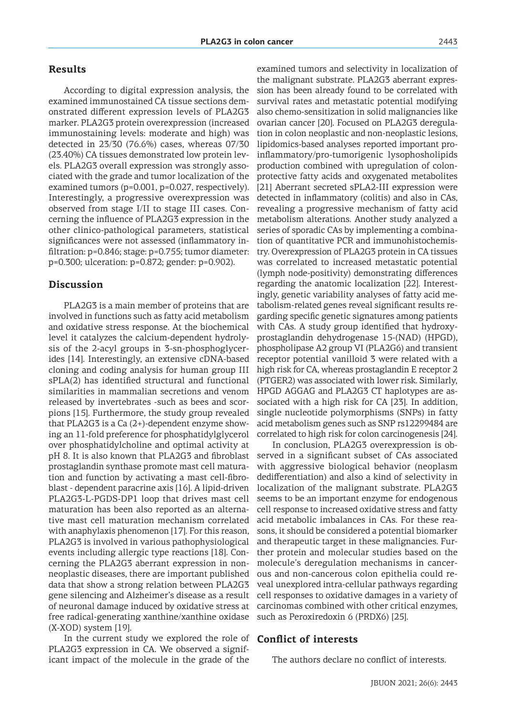According to digital expression analysis, the examined immunostained CA tissue sections demonstrated different expression levels of PLA2G3 marker. PLA2G3 protein overexpression (increased immunostaining levels: moderate and high) was detected in 23/30 (76.6%) cases, whereas 07/30 (23.40%) CA tissues demonstrated low protein levels. PLA2G3 overall expression was strongly associated with the grade and tumor localization of the examined tumors (p=0.001, p=0.027, respectively). Interestingly, a progressive overexpression was observed from stage I/II to stage III cases. Concerning the influence of PLA2G3 expression in the other clinico-pathological parameters, statistical significances were not assessed (inflammatory infiltration: p=0.846; stage: p=0.755; tumor diameter: p=0.300; ulceration: p=0.872; gender: p=0.902).

### **Discussion**

PLA2G3 is a main member of proteins that are involved in functions such as fatty acid metabolism and oxidative stress response. At the biochemical level it catalyzes the calcium-dependent hydrolysis of the 2-acyl groups in 3-sn-phosphoglycerides [14]. Interestingly, an extensive cDNA-based cloning and coding analysis for human group III sPLA(2) has identified structural and functional similarities in mammalian secretions and venom released by invertebrates -such as bees and scorpions [15]. Furthermore, the study group revealed that PLA2G3 is a Ca (2+)-dependent enzyme showing an 11-fold preference for phosphatidylglycerol over phosphatidylcholine and optimal activity at pH 8. It is also known that PLA2G3 and fibroblast prostaglandin synthase promote mast cell maturation and function by activating a mast cell-fibroblast - dependent paracrine axis [16]. A lipid-driven PLA2G3-L-PGDS-DP1 loop that drives mast cell maturation has been also reported as an alternative mast cell maturation mechanism correlated with anaphylaxis phenomenon [17]. For this reason, PLA2G3 is involved in various pathophysiological events including allergic type reactions [18]. Concerning the PLA2G3 aberrant expression in nonneoplastic diseases, there are important published data that show a strong relation between PLA2G3 gene silencing and Alzheimer's disease as a result of neuronal damage induced by oxidative stress at free radical-generating xanthine/xanthine oxidase (X-XOD) system [19].

In the current study we explored the role of PLA2G3 expression in CA. We observed a significant impact of the molecule in the grade of the

examined tumors and selectivity in localization of the malignant substrate. PLA2G3 aberrant expression has been already found to be correlated with survival rates and metastatic potential modifying also chemo-sensitization in solid malignancies like ovarian cancer [20]. Focused on PLA2G3 deregulation in colon neoplastic and non-neoplastic lesions, lipidomics-based analyses reported important proinflammatory/pro-tumorigenic lysophosholipids production combined with upregulation of colonprotective fatty acids and oxygenated metabolites [21] Aberrant secreted sPLA2-III expression were detected in inflammatory (colitis) and also in CAs, revealing a progressive mechanism of fatty acid metabolism alterations. Another study analyzed a series of sporadic CAs by implementing a combination of quantitative PCR and immunohistochemistry. Overexpression of PLA2G3 protein in CA tissues was correlated to increased metastatic potential (lymph node-positivity) demonstrating differences regarding the anatomic localization [22]. Interestingly, genetic variability analyses of fatty acid metabolism-related genes reveal significant results regarding specific genetic signatures among patients with CAs. A study group identified that hydroxyprostaglandin dehydrogenase 15-(NAD) (HPGD), phospholipase A2 group VI (PLA2G6) and transient receptor potential vanilloid 3 were related with a high risk for CA, whereas prostaglandin E receptor 2 (PTGER2) was associated with lower risk. Similarly, HPGD AGGAG and PLA2G3 CT haplotypes are associated with a high risk for CA [23]. In addition, single nucleotide polymorphisms (SNPs) in fatty acid metabolism genes such as SNP rs12299484 are correlated to high risk for colon carcinogenesis [24].

In conclusion, PLA2G3 overexpression is observed in a significant subset of CAs associated with aggressive biological behavior (neoplasm dedifferentiation) and also a kind of selectivity in localization of the malignant substrate. PLA2G3 seems to be an important enzyme for endogenous cell response to increased oxidative stress and fatty acid metabolic imbalances in CAs. For these reasons, it should be considered a potential biomarker and therapeutic target in these malignancies. Further protein and molecular studies based on the molecule's deregulation mechanisms in cancerous and non-cancerous colon epithelia could reveal unexplored intra-cellular pathways regarding cell responses to oxidative damages in a variety of carcinomas combined with other critical enzymes, such as Peroxiredoxin 6 (PRDX6) [25].

### **Conflict of interests**

The authors declare no conflict of interests.